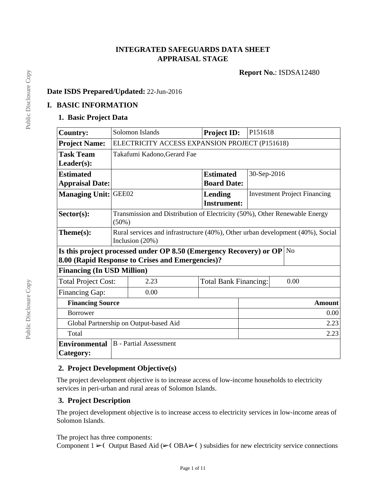## **INTEGRATED SAFEGUARDS DATA SHEET APPRAISAL STAGE**

**Report No.**: ISDSA12480

### **Date ISDS Prepared/Updated:** 22-Jun-2016

## **I. BASIC INFORMATION**

#### **1. Basic Project Data**

| <b>Country:</b>                                  | Solomon Islands                                                                                     | <b>Project ID:</b>           | P151618     |                                     |  |
|--------------------------------------------------|-----------------------------------------------------------------------------------------------------|------------------------------|-------------|-------------------------------------|--|
| <b>Project Name:</b>                             | ELECTRICITY ACCESS EXPANSION PROJECT (P151618)                                                      |                              |             |                                     |  |
| <b>Task Team</b>                                 | Takafumi Kadono, Gerard Fae                                                                         |                              |             |                                     |  |
| $Leader(s)$ :                                    |                                                                                                     |                              |             |                                     |  |
| <b>Estimated</b>                                 |                                                                                                     | <b>Estimated</b>             | 30-Sep-2016 |                                     |  |
| <b>Appraisal Date:</b>                           |                                                                                                     | <b>Board Date:</b>           |             |                                     |  |
| <b>Managing Unit:</b>                            | GEE02                                                                                               | <b>Lending</b>               |             | <b>Investment Project Financing</b> |  |
|                                                  |                                                                                                     | <b>Instrument:</b>           |             |                                     |  |
| $Sector(s)$ :                                    | Transmission and Distribution of Electricity (50%), Other Renewable Energy<br>$(50\%)$              |                              |             |                                     |  |
| Theme(s):                                        | Rural services and infrastructure (40%), Other urban development (40%), Social<br>Inclusion $(20%)$ |                              |             |                                     |  |
|                                                  | Is this project processed under OP 8.50 (Emergency Recovery) or OP<br>N <sub>0</sub>                |                              |             |                                     |  |
| 8.00 (Rapid Response to Crises and Emergencies)? |                                                                                                     |                              |             |                                     |  |
| <b>Financing (In USD Million)</b>                |                                                                                                     |                              |             |                                     |  |
| <b>Total Project Cost:</b>                       | 2.23                                                                                                | <b>Total Bank Financing:</b> |             | 0.00                                |  |
| Financing Gap:                                   | 0.00                                                                                                |                              |             |                                     |  |
| <b>Financing Source</b>                          |                                                                                                     |                              |             | <b>Amount</b>                       |  |
| <b>Borrower</b>                                  |                                                                                                     |                              | 0.00        |                                     |  |
| Global Partnership on Output-based Aid           |                                                                                                     | 2.23                         |             |                                     |  |
| Total                                            |                                                                                                     |                              |             | 2.23                                |  |
| <b>Environmental</b><br>Category:                | <b>B</b> - Partial Assessment                                                                       |                              |             |                                     |  |

## **2. Project Development Objective(s)**

The project development objective is to increase access of low-income households to electricity services in peri-urban and rural areas of Solomon Islands.

#### **3. Project Description**

The project development objective is to increase access to electricity services in low-income areas of Solomon Islands.

#### The project has three components:

Component  $1 \geq 0$  Output Based Aid ( $\geq 0$  OBA $\geq 0$ ) subsidies for new electricity service connections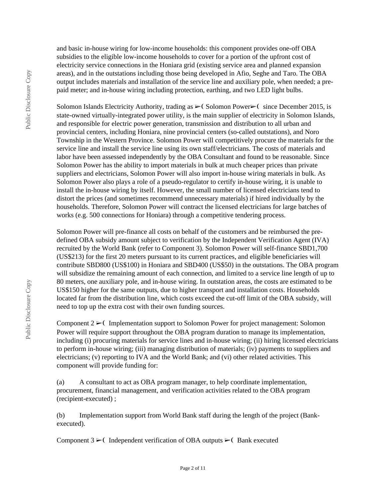and basic in-house wiring for low-income households: this component provides one-off OBA subsidies to the eligible low-income households to cover for a portion of the upfront cost of electricity service connections in the Honiara grid (existing service area and planned expansion areas), and in the outstations including those being developed in Afio, Seghe and Taro. The OBA output includes materials and installation of the service line and auxiliary pole, when needed; a prepaid meter; and in-house wiring including protection, earthing, and two LED light bulbs.

Solomon Islands Electricity Authority, trading as  $\triangleright$  (Solomon Power $\triangleright$ ) since December 2015, is state-owned virtually-integrated power utility, is the main supplier of electricity in Solomon Islands, and responsible for electric power generation, transmission and distribution to all urban and provincial centers, including Honiara, nine provincial centers (so-called outstations), and Noro Township in the Western Province. Solomon Power will competitively procure the materials for the service line and install the service line using its own staff/electricians. The costs of materials and labor have been assessed independently by the OBA Consultant and found to be reasonable. Since Solomon Power has the ability to import materials in bulk at much cheaper prices than private suppliers and electricians, Solomon Power will also import in-house wiring materials in bulk. As Solomon Power also plays a role of a pseudo-regulator to certify in-house wiring, it is unable to install the in-house wiring by itself. However, the small number of licensed electricians tend to distort the prices (and sometimes recommend unnecessary materials) if hired individually by the households. Therefore, Solomon Power will contract the licensed electricians for large batches of works (e.g. 500 connections for Honiara) through a competitive tendering process.

Solomon Power will pre-finance all costs on behalf of the customers and be reimbursed the predefined OBA subsidy amount subject to verification by the Independent Verification Agent (IVA) recruited by the World Bank (refer to Component 3). Solomon Power will self-finance SBD1,700 (US\$213) for the first 20 meters pursuant to its current practices, and eligible beneficiaries will contribute SBD800 (US\$100) in Honiara and SBD400 (US\$50) in the outstations. The OBA program will subsidize the remaining amount of each connection, and limited to a service line length of up to 80 meters, one auxiliary pole, and in-house wiring. In outstation areas, the costs are estimated to be US\$150 higher for the same outputs, due to higher transport and installation costs. Households located far from the distribution line, which costs exceed the cut-off limit of the OBA subsidy, will need to top up the extra cost with their own funding sources.

Component  $2 \geq 0$  Implementation support to Solomon Power for project management: Solomon Power will require support throughout the OBA program duration to manage its implementation, including (i) procuring materials for service lines and in-house wiring; (ii) hiring licensed electricians to perform in-house wiring; (iii) managing distribution of materials; (iv) payments to suppliers and electricians; (v) reporting to IVA and the World Bank; and (vi) other related activities. This component will provide funding for:

(a) A consultant to act as OBA program manager, to help coordinate implementation, procurement, financial management, and verification activities related to the OBA program (recipient-executed) ;

(b) Implementation support from World Bank staff during the length of the project (Bankexecuted).

Component  $3 \geq 1$  Independent verification of OBA outputs  $\geq 1$  Bank executed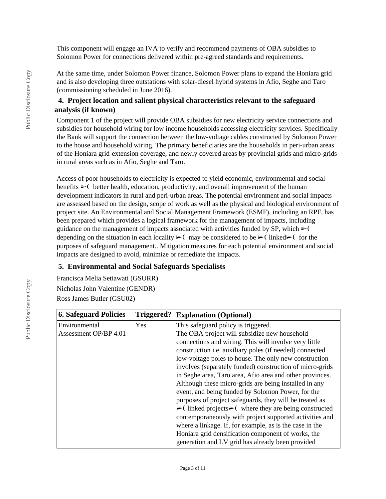This component will engage an IVA to verify and recommend payments of OBA subsidies to Solomon Power for connections delivered within pre-agreed standards and requirements.

At the same time, under Solomon Power finance, Solomon Power plans to expand the Honiara grid and is also developing three outstations with solar-diesel hybrid systems in Afio, Seghe and Taro (commissioning scheduled in June 2016).

## **4. Project location and salient physical characteristics relevant to the safeguard analysis (if known)**

Component 1 of the project will provide OBA subsidies for new electricity service connections and subsidies for household wiring for low income households accessing electricity services. Specifically the Bank will support the connection between the low-voltage cables constructed by Solomon Power to the house and household wiring. The primary beneficiaries are the households in peri-urban areas of the Honiara grid-extension coverage, and newly covered areas by provincial grids and micro-grids in rural areas such as in Afio, Seghe and Taro.

Access of poor households to electricity is expected to yield economic, environmental and social benefits  $\triangleright$  (better health, education, productivity, and overall improvement of the human development indicators in rural and peri-urban areas. The potential environment and social impacts are assessed based on the design, scope of work as well as the physical and biological environment of project site. An Environmental and Social Management Framework (ESMF), including an RPF, has been prepared which provides a logical framework for the management of impacts, including guidance on the management of impacts associated with activities funded by SP, which  $\blacktriangleright$  ( depending on the situation in each locality  $\triangleright$  ( may be considered to be  $\triangleright$  ( linked $\triangleright$  ( for the purposes of safeguard management.. Mitigation measures for each potential environment and social impacts are designed to avoid, minimize or remediate the impacts.

## **5. Environmental and Social Safeguards Specialists**

Francisca Melia Setiawati (GSURR) Nicholas John Valentine (GENDR) Ross James Butler (GSU02)

| <b>6. Safeguard Policies</b> | Triggered? | <b>Explanation (Optional)</b>                                                        |
|------------------------------|------------|--------------------------------------------------------------------------------------|
| Environmental                | <b>Yes</b> | This safeguard policy is triggered.                                                  |
| Assessment OP/BP 4.01        |            | The OBA project will subsidize new household                                         |
|                              |            | connections and wiring. This will involve very little                                |
|                              |            | construction i.e. auxiliary poles (if needed) connected                              |
|                              |            | low-voltage poles to house. The only new construction                                |
|                              |            | involves (separately funded) construction of micro-grids                             |
|                              |            | in Seghe area, Taro area, Afio area and other provinces.                             |
|                              |            | Although these micro-grids are being installed in any                                |
|                              |            | event, and being funded by Solomon Power, for the                                    |
|                              |            | purposes of project safeguards, they will be treated as                              |
|                              |            | $\triangleright$ (linked projects $\triangleright$ (where they are being constructed |
|                              |            | contemporaneously with project supported activities and                              |
|                              |            | where a linkage. If, for example, as is the case in the                              |
|                              |            | Honiara grid densification component of works, the                                   |
|                              |            | generation and LV grid has already been provided                                     |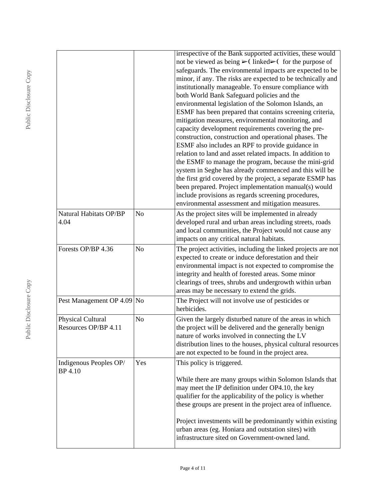| Natural Habitats OP/BP<br>4.04            | N <sub>o</sub> | irrespective of the Bank supported activities, these would<br>not be viewed as being $\triangleright$ (linked $\triangleright$ for the purpose of<br>safeguards. The environmental impacts are expected to be<br>minor, if any. The risks are expected to be technically and<br>institutionally manageable. To ensure compliance with<br>both World Bank Safeguard policies and the<br>environmental legislation of the Solomon Islands, an<br>ESMF has been prepared that contains screening criteria,<br>mitigation measures, environmental monitoring, and<br>capacity development requirements covering the pre-<br>construction, construction and operational phases. The<br>ESMF also includes an RPF to provide guidance in<br>relation to land and asset related impacts. In addition to<br>the ESMF to manage the program, because the mini-grid<br>system in Seghe has already commenced and this will be<br>the first grid covered by the project, a separate ESMP has<br>been prepared. Project implementation manual(s) would<br>include provisions as regards screening procedures,<br>environmental assessment and mitigation measures.<br>As the project sites will be implemented in already<br>developed rural and urban areas including streets, roads |
|-------------------------------------------|----------------|---------------------------------------------------------------------------------------------------------------------------------------------------------------------------------------------------------------------------------------------------------------------------------------------------------------------------------------------------------------------------------------------------------------------------------------------------------------------------------------------------------------------------------------------------------------------------------------------------------------------------------------------------------------------------------------------------------------------------------------------------------------------------------------------------------------------------------------------------------------------------------------------------------------------------------------------------------------------------------------------------------------------------------------------------------------------------------------------------------------------------------------------------------------------------------------------------------------------------------------------------------------------------|
|                                           |                | and local communities, the Project would not cause any<br>impacts on any critical natural habitats.                                                                                                                                                                                                                                                                                                                                                                                                                                                                                                                                                                                                                                                                                                                                                                                                                                                                                                                                                                                                                                                                                                                                                                       |
| Forests OP/BP 4.36                        | No             | The project activities, including the linked projects are not<br>expected to create or induce deforestation and their<br>environmental impact is not expected to compromise the<br>integrity and health of forested areas. Some minor<br>clearings of trees, shrubs and undergrowth within urban<br>areas may be necessary to extend the grids.                                                                                                                                                                                                                                                                                                                                                                                                                                                                                                                                                                                                                                                                                                                                                                                                                                                                                                                           |
| Pest Management OP 4.09 No                |                | The Project will not involve use of pesticides or<br>herbicides.                                                                                                                                                                                                                                                                                                                                                                                                                                                                                                                                                                                                                                                                                                                                                                                                                                                                                                                                                                                                                                                                                                                                                                                                          |
| Physical Cultural<br>Resources OP/BP 4.11 | N <sub>o</sub> | Given the largely disturbed nature of the areas in which<br>the project will be delivered and the generally benign<br>nature of works involved in connecting the LV<br>distribution lines to the houses, physical cultural resources<br>are not expected to be found in the project area.                                                                                                                                                                                                                                                                                                                                                                                                                                                                                                                                                                                                                                                                                                                                                                                                                                                                                                                                                                                 |
| Indigenous Peoples OP/<br>BP 4.10         | Yes            | This policy is triggered.                                                                                                                                                                                                                                                                                                                                                                                                                                                                                                                                                                                                                                                                                                                                                                                                                                                                                                                                                                                                                                                                                                                                                                                                                                                 |
|                                           |                | While there are many groups within Solomon Islands that<br>may meet the IP definition under OP4.10, the key<br>qualifier for the applicability of the policy is whether<br>these groups are present in the project area of influence.                                                                                                                                                                                                                                                                                                                                                                                                                                                                                                                                                                                                                                                                                                                                                                                                                                                                                                                                                                                                                                     |
|                                           |                | Project investments will be predominantly within existing<br>urban areas (eg. Honiara and outstation sites) with<br>infrastructure sited on Government-owned land.                                                                                                                                                                                                                                                                                                                                                                                                                                                                                                                                                                                                                                                                                                                                                                                                                                                                                                                                                                                                                                                                                                        |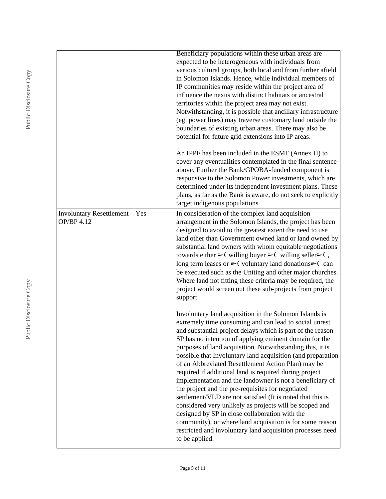|                                               |     | Beneficiary populations within these urban areas are<br>expected to be heterogeneous with individuals from<br>various cultural groups, both local and from further afield<br>in Solomon Islands. Hence, while individual members of<br>IP communities may reside within the project area of<br>influence the nexus with distinct habitats or ancestral<br>territories within the project area may not exist.<br>Notwithstanding, it is possible that ancillary infrastructure<br>(eg. power lines) may traverse customary land outside the<br>boundaries of existing urban areas. There may also be<br>potential for future grid extensions into IP areas.                                                                                                                                                                                                                                                                   |
|-----------------------------------------------|-----|------------------------------------------------------------------------------------------------------------------------------------------------------------------------------------------------------------------------------------------------------------------------------------------------------------------------------------------------------------------------------------------------------------------------------------------------------------------------------------------------------------------------------------------------------------------------------------------------------------------------------------------------------------------------------------------------------------------------------------------------------------------------------------------------------------------------------------------------------------------------------------------------------------------------------|
|                                               |     | An IPPF has been included in the ESMF (Annex H) to<br>cover any eventualities contemplated in the final sentence<br>above. Further the Bank/GPOBA-funded component is<br>responsive to the Solomon Power investments, which are<br>determined under its independent investment plans. These<br>plans, as far as the Bank is aware, do not seek to explicitly<br>target indigenous populations                                                                                                                                                                                                                                                                                                                                                                                                                                                                                                                                |
| <b>Involuntary Resettlement</b><br>OP/BP 4.12 | Yes | In consideration of the complex land acquisition<br>arrangement in the Solomon Islands, the project has been<br>designed to avoid to the greatest extent the need to use<br>land other than Government owned land or land owned by<br>substantial land owners with whom equitable negotiations<br>towards either $\triangleright$ (willing buyer $\triangleright$ (willing seller $\triangleright$ (,<br>long term leases or $\triangleright$ (voluntary land donations $\triangleright$ (can<br>be executed such as the Uniting and other major churches.<br>Where land not fitting these criteria may be required, the<br>project would screen out these sub-projects from project<br>support.                                                                                                                                                                                                                             |
|                                               |     | Involuntary land acquisition in the Solomon Islands is<br>extremely time consuming and can lead to social unrest<br>and substantial project delays which is part of the reason<br>SP has no intention of applying eminent domain for the<br>purposes of land acquisition. Notwithstanding this, it is<br>possible that Involuntary land acquisition (and preparation<br>of an Abbreviated Resettlement Action Plan) may be<br>required if additional land is required during project<br>implementation and the landowner is not a beneficiary of<br>the project and the pre-requisites for negotiated<br>settlement/VLD are not satisfied (It is noted that this is<br>considered very unlikely as projects will be scoped and<br>designed by SP in close collaboration with the<br>community), or where land acquisition is for some reason<br>restricted and involuntary land acquisition processes need<br>to be applied. |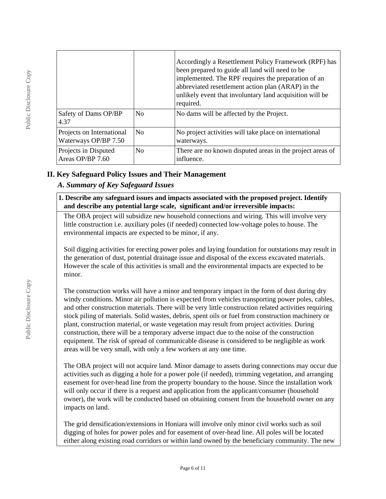|                                                   |                | Accordingly a Resettlement Policy Framework (RPF) has<br>been prepared to guide all land will need to be<br>implemented. The RPF requires the preparation of an<br>abbreviated resettlement action plan (ARAP) in the<br>unlikely event that involuntary land acquisition will be<br>required. |
|---------------------------------------------------|----------------|------------------------------------------------------------------------------------------------------------------------------------------------------------------------------------------------------------------------------------------------------------------------------------------------|
| Safety of Dams OP/BP<br>4.37                      | No             | No dams will be affected by the Project.                                                                                                                                                                                                                                                       |
| Projects on International<br>Waterways OP/BP 7.50 | N <sub>0</sub> | No project activities will take place on international<br>waterways.                                                                                                                                                                                                                           |
| Projects in Disputed<br>Areas OP/BP 7.60          | No             | There are no known disputed areas in the project areas of<br>influence.                                                                                                                                                                                                                        |

## **II. Key Safeguard Policy Issues and Their Management**

## *A. Summary of Key Safeguard Issues*

#### **1. Describe any safeguard issues and impacts associated with the proposed project. Identify and describe any potential large scale, significant and/or irreversible impacts:**

The OBA project will subsidize new household connections and wiring. This will involve very little construction i.e. auxiliary poles (if needed) connected low-voltage poles to house. The environmental impacts are expected to be minor, if any.

Soil digging activities for erecting power poles and laying foundation for outstations may result in the generation of dust, potential drainage issue and disposal of the excess excavated materials. However the scale of this activities is small and the environmental impacts are expected to be minor.

The construction works will have a minor and temporary impact in the form of dust during dry windy conditions. Minor air pollution is expected from vehicles transporting power poles, cables, and other construction materials. There will be very little construction related activities requiring stock piling of materials. Solid wastes, debris, spent oils or fuel from construction machinery or plant, construction material, or waste vegetation may result from project activities. During construction, there will be a temporary adverse impact due to the noise of the construction equipment. The risk of spread of communicable disease is considered to be negligible as work areas will be very small, with only a few workers at any one time.

The OBA project will not acquire land. Minor damage to assets during connections may occur due activities such as digging a hole for a power pole (if needed), trimming vegetation, and arranging easement for over-head line from the property boundary to the house. Since the installation work will only occur if there is a request and application from the applicant/consumer (household owner), the work will be conducted based on obtaining consent from the household owner on any impacts on land.

The grid densification/extensions in Honiara will involve only minor civil works such as soil digging of holes for power poles and for easement of over-head line. All poles will be located either along existing road corridors or within land owned by the beneficiary community. The new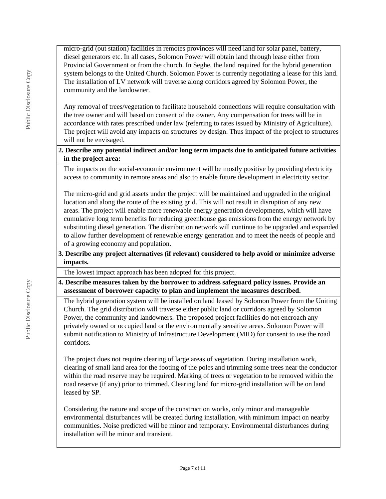micro-grid (out station) facilities in remotes provinces will need land for solar panel, battery, diesel generators etc. In all cases, Solomon Power will obtain land through lease either from Provincial Government or from the church. In Seghe, the land required for the hybrid generation system belongs to the United Church. Solomon Power is currently negotiating a lease for this land. The installation of LV network will traverse along corridors agreed by Solomon Power, the community and the landowner.

Any removal of trees/vegetation to facilitate household connections will require consultation with the tree owner and will based on consent of the owner. Any compensation for trees will be in accordance with rates prescribed under law (referring to rates issued by Ministry of Agriculture). The project will avoid any impacts on structures by design. Thus impact of the project to structures will not be envisaged.

#### **2. Describe any potential indirect and/or long term impacts due to anticipated future activities in the project area:**

The impacts on the social-economic environment will be mostly positive by providing electricity access to community in remote areas and also to enable future development in electricity sector.

The micro-grid and grid assets under the project will be maintained and upgraded in the original location and along the route of the existing grid. This will not result in disruption of any new areas. The project will enable more renewable energy generation developments, which will have cumulative long term benefits for reducing greenhouse gas emissions from the energy network by substituting diesel generation. The distribution network will continue to be upgraded and expanded to allow further development of renewable energy generation and to meet the needs of people and of a growing economy and population.

#### **3. Describe any project alternatives (if relevant) considered to help avoid or minimize adverse impacts.**

The lowest impact approach has been adopted for this project.

**4. Describe measures taken by the borrower to address safeguard policy issues. Provide an assessment of borrower capacity to plan and implement the measures described.**

The hybrid generation system will be installed on land leased by Solomon Power from the Uniting Church. The grid distribution will traverse either public land or corridors agreed by Solomon Power, the community and landowners. The proposed project facilities do not encroach any privately owned or occupied land or the environmentally sensitive areas. Solomon Power will submit notification to Ministry of Infrastructure Development (MID) for consent to use the road corridors.

The project does not require clearing of large areas of vegetation. During installation work, clearing of small land area for the footing of the poles and trimming some trees near the conductor within the road reserve may be required. Marking of trees or vegetation to be removed within the road reserve (if any) prior to trimmed. Clearing land for micro-grid installation will be on land leased by SP.

Considering the nature and scope of the construction works, only minor and manageable environmental disturbances will be created during installation, with minimum impact on nearby communities. Noise predicted will be minor and temporary. Environmental disturbances during installation will be minor and transient.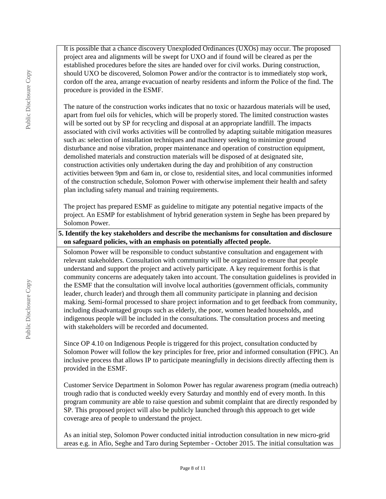It is possible that a chance discovery Unexploded Ordinances (UXOs) may occur. The proposed project area and alignments will be swept for UXO and if found will be cleared as per the established procedures before the sites are handed over for civil works. During construction, should UXO be discovered, Solomon Power and/or the contractor is to immediately stop work, cordon off the area, arrange evacuation of nearby residents and inform the Police of the find. The procedure is provided in the ESMF.

The nature of the construction works indicates that no toxic or hazardous materials will be used, apart from fuel oils for vehicles, which will be properly stored. The limited construction wastes will be sorted out by SP for recycling and disposal at an appropriate landfill. The impacts associated with civil works activities will be controlled by adapting suitable mitigation measures such as: selection of installation techniques and machinery seeking to minimize ground disturbance and noise vibration, proper maintenance and operation of construction equipment, demolished materials and construction materials will be disposed of at designated site, construction activities only undertaken during the day and prohibition of any construction activities between 9pm and 6am in, or close to, residential sites, and local communities informed of the construction schedule, Solomon Power with otherwise implement their health and safety plan including safety manual and training requirements.

The project has prepared ESMF as guideline to mitigate any potential negative impacts of the project. An ESMP for establishment of hybrid generation system in Seghe has been prepared by Solomon Power.

#### **5. Identify the key stakeholders and describe the mechanisms for consultation and disclosure on safeguard policies, with an emphasis on potentially affected people.**

Solomon Power will be responsible to conduct substantive consultation and engagement with relevant stakeholders. Consultation with community will be organized to ensure that people understand and support the project and actively participate. A key requirement forthis is that community concerns are adequately taken into account. The consultation guidelines is provided in the ESMF that the consultation will involve local authorities (government officials, community leader, church leader) and through them all community participate in planning and decision making. Semi-formal processed to share project information and to get feedback from community, including disadvantaged groups such as elderly, the poor, women headed households, and indigenous people will be included in the consultations. The consultation process and meeting with stakeholders will be recorded and documented.

Since OP 4.10 on Indigenous People is triggered for this project, consultation conducted by Solomon Power will follow the key principles for free, prior and informed consultation (FPIC). An inclusive process that allows IP to participate meaningfully in decisions directly affecting them is provided in the ESMF.

Customer Service Department in Solomon Power has regular awareness program (media outreach) trough radio that is conducted weekly every Saturday and monthly end of every month. In this program community are able to raise question and submit complaint that are directly responded by SP. This proposed project will also be publicly launched through this approach to get wide coverage area of people to understand the project.

As an initial step, Solomon Power conducted initial introduction consultation in new micro-grid areas e.g. in Afio, Seghe and Taro during September - October 2015. The initial consultation was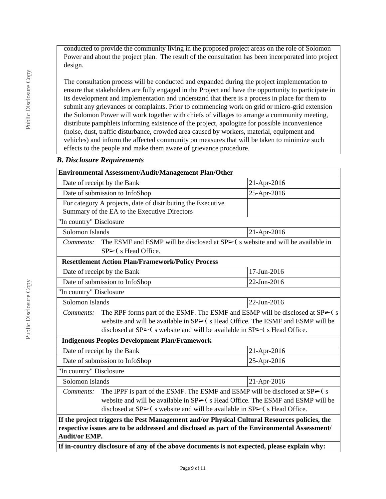conducted to provide the community living in the proposed project areas on the role of Solomon Power and about the project plan. The result of the consultation has been incorporated into project design.

The consultation process will be conducted and expanded during the project implementation to ensure that stakeholders are fully engaged in the Project and have the opportunity to participate in its development and implementation and understand that there is a process in place for them to submit any grievances or complaints. Prior to commencing work on grid or micro-grid extension the Solomon Power will work together with chiefs of villages to arrange a community meeting, distribute pamphlets informing existence of the project, apologize for possible inconvenience (noise, dust, traffic disturbance, crowded area caused by workers, material, equipment and vehicles) and inform the affected community on measures that will be taken to minimize such effects to the people and make them aware of grievance procedure.

#### *B. Disclosure Requirements*

| Environmental Assessment/Audit/Management Plan/Other                                                                                                                                                                                                                                       |                                                                                                                    |             |  |  |
|--------------------------------------------------------------------------------------------------------------------------------------------------------------------------------------------------------------------------------------------------------------------------------------------|--------------------------------------------------------------------------------------------------------------------|-------------|--|--|
|                                                                                                                                                                                                                                                                                            | Date of receipt by the Bank                                                                                        | 21-Apr-2016 |  |  |
|                                                                                                                                                                                                                                                                                            | Date of submission to InfoShop                                                                                     | 25-Apr-2016 |  |  |
|                                                                                                                                                                                                                                                                                            | For category A projects, date of distributing the Executive<br>Summary of the EA to the Executive Directors        |             |  |  |
| "In country" Disclosure                                                                                                                                                                                                                                                                    |                                                                                                                    |             |  |  |
| Solomon Islands                                                                                                                                                                                                                                                                            |                                                                                                                    | 21-Apr-2016 |  |  |
| Comments:                                                                                                                                                                                                                                                                                  | The ESMF and ESMP will be disclosed at $SP\succ$ (s website and will be available in<br>$SP \geq 0$ s Head Office. |             |  |  |
|                                                                                                                                                                                                                                                                                            | <b>Resettlement Action Plan/Framework/Policy Process</b>                                                           |             |  |  |
|                                                                                                                                                                                                                                                                                            | Date of receipt by the Bank                                                                                        | 17-Jun-2016 |  |  |
|                                                                                                                                                                                                                                                                                            | Date of submission to InfoShop                                                                                     | 22-Jun-2016 |  |  |
| "In country" Disclosure                                                                                                                                                                                                                                                                    |                                                                                                                    |             |  |  |
| Solomon Islands                                                                                                                                                                                                                                                                            |                                                                                                                    | 22-Jun-2016 |  |  |
| The RPF forms part of the ESMF. The ESMF and ESMP will be disclosed at $SP \rightarrow (s$<br>Comments:<br>website and will be available in $SP \geq 0$ s Head Office. The ESMF and ESMP will be<br>disclosed at $SP \geq 0$ s website and will be available in $SP \geq 0$ s Head Office. |                                                                                                                    |             |  |  |
| <b>Indigenous Peoples Development Plan/Framework</b>                                                                                                                                                                                                                                       |                                                                                                                    |             |  |  |
|                                                                                                                                                                                                                                                                                            | Date of receipt by the Bank                                                                                        | 21-Apr-2016 |  |  |
|                                                                                                                                                                                                                                                                                            | Date of submission to InfoShop                                                                                     | 25-Apr-2016 |  |  |
| "In country" Disclosure                                                                                                                                                                                                                                                                    |                                                                                                                    |             |  |  |
| Solomon Islands<br>21-Apr-2016                                                                                                                                                                                                                                                             |                                                                                                                    |             |  |  |
| The IPPF is part of the ESMF. The ESMF and ESMP will be disclosed at SP>(s)<br>Comments:<br>website and will be available in SP>(s Head Office. The ESMF and ESMP will be<br>disclosed at $SP \geq 0$ s website and will be available in $SP \geq 0$ s Head Office.                        |                                                                                                                    |             |  |  |
| If the project triggers the Pest Management and/or Physical Cultural Resources policies, the<br>respective issues are to be addressed and disclosed as part of the Environmental Assessment/<br><b>Audit/or EMP.</b>                                                                       |                                                                                                                    |             |  |  |

**If in-country disclosure of any of the above documents is not expected, please explain why:**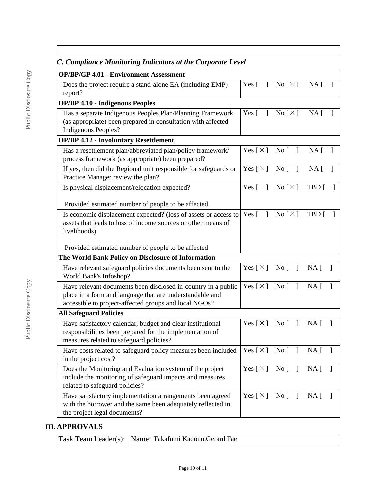| <b>C. Compliance Monitoring Indicators at the Corporate Level</b> |  |  |  |
|-------------------------------------------------------------------|--|--|--|
|                                                                   |  |  |  |

| <b>OP/BP/GP 4.01 - Environment Assessment</b>                                                                                                                                                                                           |                                |                                                               |                                  |
|-----------------------------------------------------------------------------------------------------------------------------------------------------------------------------------------------------------------------------------------|--------------------------------|---------------------------------------------------------------|----------------------------------|
| Does the project require a stand-alone EA (including EMP)<br>report?                                                                                                                                                                    | Yes $\lceil$<br>$\mathbf{I}$   | No [ $\times$ ]                                               | $NA$ [                           |
| <b>OP/BP 4.10 - Indigenous Peoples</b>                                                                                                                                                                                                  |                                |                                                               |                                  |
| Has a separate Indigenous Peoples Plan/Planning Framework<br>(as appropriate) been prepared in consultation with affected<br>Indigenous Peoples?                                                                                        | Yes $\lceil \quad \rceil$      | No [ X ] NA [                                                 | $\mathbf{1}$                     |
| <b>OP/BP 4.12 - Involuntary Resettlement</b>                                                                                                                                                                                            |                                |                                                               |                                  |
| Has a resettlement plan/abbreviated plan/policy framework/<br>process framework (as appropriate) been prepared?                                                                                                                         |                                | $Yes [ \times ] No [ ] NA [ ]$                                |                                  |
| If yes, then did the Regional unit responsible for safeguards or<br>Practice Manager review the plan?                                                                                                                                   | Yes $[\times]$ No $[$ ]        |                                                               | NA [<br>$\overline{\phantom{a}}$ |
| Is physical displacement/relocation expected?                                                                                                                                                                                           |                                | Yes $\begin{bmatrix} 1 & \text{No } [ \times ] \end{bmatrix}$ | TBD [                            |
| Provided estimated number of people to be affected                                                                                                                                                                                      |                                |                                                               |                                  |
| Is economic displacement expected? (loss of assets or access to<br>assets that leads to loss of income sources or other means of<br>livelihoods)                                                                                        | Yes $\lceil$<br>$\overline{1}$ | No [ $\times$ ]                                               | TBD [                            |
| Provided estimated number of people to be affected                                                                                                                                                                                      |                                |                                                               |                                  |
| The World Bank Policy on Disclosure of Information                                                                                                                                                                                      |                                |                                                               |                                  |
| Have relevant safeguard policies documents been sent to the<br>World Bank's Infoshop?                                                                                                                                                   | Yes $[\times]$                 | $\overline{1}$<br>No [                                        | NA <sub>1</sub>                  |
| Have relevant documents been disclosed in-country in a public<br>place in a form and language that are understandable and<br>accessible to project-affected groups and local NGOs?                                                      |                                | $Yes [ \times ] No [ ] NA [ ]$                                |                                  |
| <b>All Safeguard Policies</b>                                                                                                                                                                                                           |                                |                                                               |                                  |
| Have satisfactory calendar, budget and clear institutional<br>responsibilities been prepared for the implementation of<br>measures related to safeguard policies?                                                                       | Yes $[\times]$ No $[\ ]$       |                                                               | $NA$ [                           |
| Have costs related to safeguard policy measures been included $\begin{bmatrix} \text{Yes} \end{bmatrix} \times \begin{bmatrix} \text{No} \end{bmatrix}$ No $\begin{bmatrix} \text{I} & \text{NA} \end{bmatrix}$<br>in the project cost? |                                |                                                               | $\mathbf{j}$                     |
| Does the Monitoring and Evaluation system of the project<br>include the monitoring of safeguard impacts and measures<br>related to safeguard policies?                                                                                  | Yes [ $\times$ ]               | No [                                                          | NA [<br>$\overline{1}$           |
| Have satisfactory implementation arrangements been agreed<br>with the borrower and the same been adequately reflected in<br>the project legal documents?                                                                                |                                | $Yes [ \times ] No [ ] NA [ ]$                                |                                  |

# **III. APPROVALS**

Task Team Leader(s): Name: Takafumi Kadono,Gerard Fae